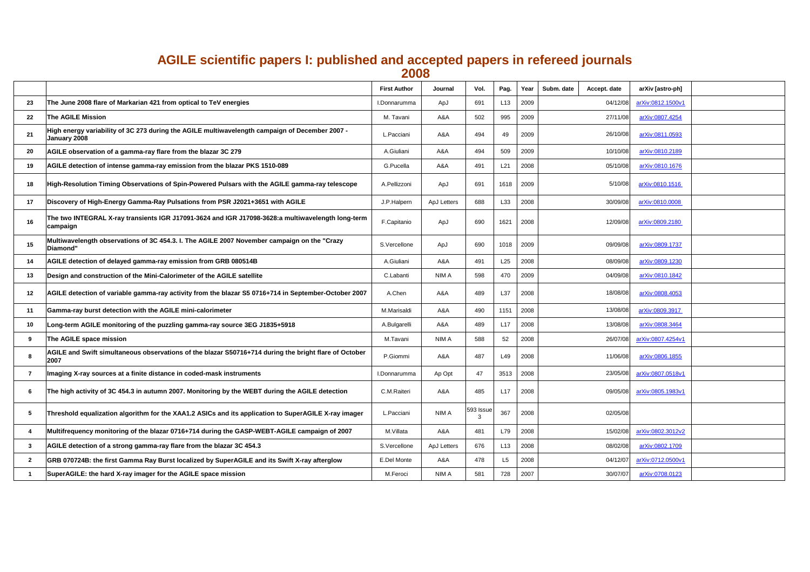## **AGILE scientific papers I: published and accepted papers in refereed journals 2008**

|                          |                                                                                                                   | <b>First Author</b> | <b>Journal</b>     | Vol.          | Pag. | Year | Subm. date | <b>Accept. date</b> | arXiv [astro-ph]         |
|--------------------------|-------------------------------------------------------------------------------------------------------------------|---------------------|--------------------|---------------|------|------|------------|---------------------|--------------------------|
| 23                       | The June 2008 flare of Markarian 421 from optical to TeV energies                                                 | I.Donnarumma        | ApJ                | 691           | L13  | 2009 |            | 04/12/08            | arXiv:0812.1500v1        |
| 22                       | <b>The AGILE Mission</b>                                                                                          | M. Tavani           | A&A                | 502           | 995  | 2009 |            | 27/11/08            | <u>arXiv:0807.4254</u>   |
| 21                       | High energy variability of 3C 273 during the AGILE multiwavelength campaign of December 2007 -<br>January 2008    | L.Pacciani          | A&A                | 494           |      | 2009 |            | 26/10/08            | arXiv:0811.0593          |
| <b>20</b>                | AGILE observation of a gamma-ray flare from the blazar 3C 279                                                     | A.Giuliani          | A&A                | 494           | 509  | 2009 |            | 10/10/08            | arXiv:0810.2189          |
| -19                      | AGILE detection of intense gamma-ray emission from the blazar PKS 1510-089                                        | <b>G.Pucella</b>    | A&A                | 491           | L21  | 2008 |            | 05/10/08            | arXiv:0810.1676          |
| <b>18</b>                | High-Resolution Timing Observations of Spin-Powered Pulsars with the AGILE gamma-ray telescope                    | A.Pellizzoni        | ApJ                | 691           | 1618 | 2009 |            | 5/10/08             | arXiv:0810.1516          |
| 17                       | Discovery of High-Energy Gamma-Ray Pulsations from PSR J2021+3651 with AGILE                                      | J.P.Halpern         | <b>ApJ Letters</b> | 688           | L33  | 2008 |            | 30/09/08            | arXiv:0810.0008          |
|                          | The two INTEGRAL X-ray transients IGR J17091-3624 and IGR J17098-3628:a multiwavelength long-term<br>$ $ campaign | F.Capitanio         | ApJ                | 690           | 1621 | 2008 |            | 12/09/08            | arXiv:0809.2180          |
| 15                       | Multiwavelength observations of 3C 454.3. I. The AGILE 2007 November campaign on the "Crazy"<br><b>Diamond"</b>   | S.Vercellone        | ApJ                | 690           | 1018 | 2009 |            | 09/09/08            | arXiv:0809.1737          |
| 14                       | AGILE detection of delayed gamma-ray emission from GRB 080514B                                                    | A.Giuliani          | A&A                | 491           | L25  | 2008 |            | 08/09/08            | arXiv:0809.1230          |
| 13                       | Design and construction of the Mini-Calorimeter of the AGILE satellite                                            | C.Labanti           | <b>NIMA</b>        | 598           | 470  | 2009 |            | 04/09/08            | arXiv:0810.1842          |
| $\overline{\mathbf{12}}$ | AGILE detection of variable gamma-ray activity from the blazar S5 0716+714 in September-October 2007              | A.Chen              | A&A                | 489           | L37  | 2008 |            | 18/08/08            | arXiv:0808.4053          |
| $11$                     | Gamma-ray burst detection with the AGILE mini-calorimeter                                                         | <b>M.Marisaldi</b>  | A&A                | 490           | 1151 | 2008 |            | 13/08/08            | arXiv:0809.3917          |
| $-10$                    | Long-term AGILE monitoring of the puzzling gamma-ray source 3EG J1835+5918                                        | A.Bulgarelli        | A&A                | 489           | L17  | 2008 |            | 13/08/08            | arXiv:0808.3464          |
|                          | The AGILE space mission                                                                                           | M.Tavani            | <b>NIMA</b>        | 588           | 52   | 2008 |            | 26/07/08            | <u>arXiv:0807.4254v1</u> |
|                          | AGILE and Swift simultaneous observations of the blazar S50716+714 during the bright flare of October<br>2007     | P.Giommi            | A&A                | 487           | L49  | 2008 |            | 11/06/08            | arXiv:0806.1855          |
|                          | Imaging X-ray sources at a finite distance in coded-mask instruments                                              | I.Donnarumma        | Ap Opt             | 47            | 3513 | 2008 |            | 23/05/08            | arXiv:0807.0518v1        |
|                          | The high activity of 3C 454.3 in autumn 2007. Monitoring by the WEBT during the AGILE detection                   | C.M.Raiteri         | A&A                | 485           | L17  | 2008 |            | 09/05/08            | arXiv:0805.1983v1        |
|                          | Threshold equalization algorithm for the XAA1.2 ASICs and its application to SuperAGILE X-ray imager              | L.Pacciani          | <b>NIMA</b>        | $ 593 $ Issue | 367  | 2008 |            | 02/05/08            |                          |
|                          | Multifrequency monitoring of the blazar 0716+714 during the GASP-WEBT-AGILE campaign of 2007                      | M.Villata           | A&A                | 481           | L79  | 2008 |            | 15/02/08            | arXiv:0802.3012v2        |
|                          | AGILE detection of a strong gamma-ray flare from the blazar 3C 454.3                                              | S.Vercellone        | <b>ApJ Letters</b> | 676           | L13  | 2008 |            | 08/02/08            | arXiv:0802.1709          |
|                          | GRB 070724B: the first Gamma Ray Burst localized by SuperAGILE and its Swift X-ray afterglow                      | <b>E.Del Monte</b>  | A&A                | 478           | L5   | 2008 |            | 04/12/07            | <u>arXiv:0712.0500v1</u> |
|                          | SuperAGILE: the hard X-ray imager for the AGILE space mission                                                     | M.Feroci            | <b>NIMA</b>        | 581           | 728  | 2007 |            | 30/07/07            | <u>arXiv:0708.0123</u>   |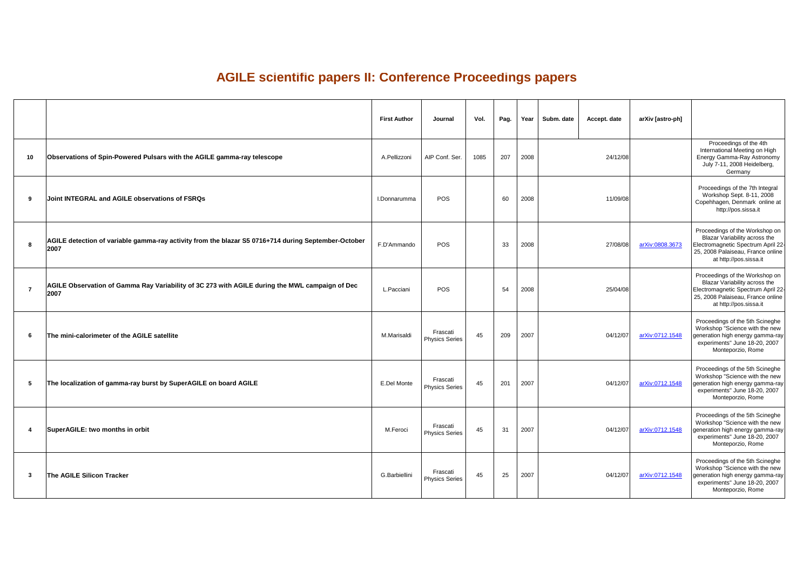## **AGILE scientific papers II: Conference Proceedings papers**

edings of the 4th nal Meeting on High amma-Ray Astronomy 1, 2008 Heidelberg, **Germany** 

gs of the 7th Integral op Sept. 8-11, 2008 en, Denmark online at p://pos.sissa.it

gs of the Workshop on 'ariability across the Electromagnetic Spectrum April 22- 25, 2008 Palaiseau, France online tp://pos.sissa.it

> gs of the Workshop on ariability across the netic Spectrum April 22 $a$ laiseau, France online  $\vert$ ttp://pos.sissa.it

> gs of the 5th Scineghe "Science with the new  $\left. \text{right energy gamma-ray} \right|_{\alpha}$ nts" June 18-20, 2007 teporzio, Rome

> gs of the 5th Scineghe "Science with the new  $\left. \text{right energy gamma-ray} \right|_{\text{max}}$ nts" June 18-20, 2007 teporzio, Rome

> gs of the 5th Scineghe "Science with the new  $\left. \right.$ nigh energy gamma-ray $\left. \right|$ nts" June 18-20, 2007 teporzio, Rome

> gs of the 5th Scineghe Science with the new  $\left. \right.$ nigh energy gamma-ray $\left. \right|$ nts" June 18-20, 2007 teporzio, Rome

|    |                                                                                                             | <b>First Author</b>  | Journal                           | Vol. | Pag. | Year | Subm. date | <b>Accept. date</b> | arXiv [astro-ph]       |                                                                                |
|----|-------------------------------------------------------------------------------------------------------------|----------------------|-----------------------------------|------|------|------|------------|---------------------|------------------------|--------------------------------------------------------------------------------|
| 10 | Observations of Spin-Powered Pulsars with the AGILE gamma-ray telescope                                     | A.Pellizzoni         | AIP Conf. Ser.                    | 1085 | 207  | 2008 |            | 24/12/08            |                        | Procee<br>Internatior<br><b>Energy Gar</b><br><b>July 7-11</b>                 |
| 9  | Joint INTEGRAL and AGILE observations of FSRQs                                                              | I.Donnarumma         | <b>POS</b>                        |      | 60   | 2008 |            | 11/09/08            |                        | Proceeding<br>Worksho<br>Copehhage<br>http                                     |
| 8  | AGILE detection of variable gamma-ray activity from the blazar S5 0716+714 during September-October<br>2007 | F.D'Ammando          | <b>POS</b>                        |      | 33   | 2008 |            | 27/08/08            | arXiv:0808.3673        | <b>Proceeding:</b><br><b>Blazar Va</b><br>Electromagn<br>25, 2008 Pa<br>at htt |
|    | AGILE Observation of Gamma Ray Variability of 3C 273 with AGILE during the MWL campaign of Dec<br>2007      | L. Pacciani          | <b>POS</b>                        |      | 54   | 2008 |            | 25/04/08            |                        | <b>Proceeding</b><br><b>Blazar Va</b><br>Electromagn<br>25, 2008 Pa<br>at htt  |
| 6  | The mini-calorimeter of the AGILE satellite                                                                 | M.Marisaldi          | Frascati<br><b>Physics Series</b> | 45   | 209  | 2007 |            | 04/12/07            | arXiv:0712.1548        | Proceeding<br>Workshop "<br>generation hi<br>experiment<br>Mont                |
| 5  | The localization of gamma-ray burst by SuperAGILE on board AGILE                                            | <b>E.Del Monte</b>   | Frascati<br><b>Physics Series</b> | 45   | 201  | 2007 |            | 04/12/07            | arXiv:0712.1548        | Proceeding<br>Workshop "<br>generation hi<br>experiment<br>Mont                |
|    | SuperAGILE: two months in orbit                                                                             | M.Feroci             | Frascati<br><b>Physics Series</b> | 45   | 31   | 2007 |            | 04/12/07            | <u>arXiv:0712.1548</u> | Proceeding<br>Workshop "<br>generation hi<br>experiment<br>Mont                |
| 3  | <b>The AGILE Silicon Tracker</b>                                                                            | <b>G.Barbiellini</b> | Frascati<br><b>Physics Series</b> | 45   | 25   | 2007 |            | 04/12/07            | arXiv:0712.1548        | Proceeding<br>Workshop "<br>generation hi<br>experiment<br>Mont                |